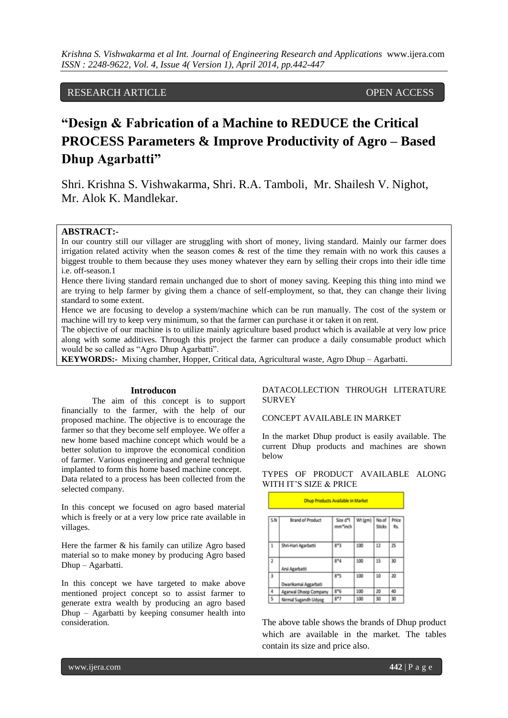# RESEARCH ARTICLE OPEN ACCESS

# **"Design & Fabrication of a Machine to REDUCE the Critical PROCESS Parameters & Improve Productivity of Agro – Based Dhup Agarbatti"**

Shri. Krishna S. Vishwakarma, Shri. R.A. Tamboli, Mr. Shailesh V. Nighot, Mr. Alok K. Mandlekar.

# **ABSTRACT:-**

In our country still our villager are struggling with short of money, living standard. Mainly our farmer does irrigation related activity when the season comes & rest of the time they remain with no work this causes a biggest trouble to them because they uses money whatever they earn by selling their crops into their idle time i.e. off-season.1

Hence there living standard remain unchanged due to short of money saving. Keeping this thing into mind we are trying to help farmer by giving them a chance of self-employment, so that, they can change their living standard to some extent.

Hence we are focusing to develop a system/machine which can be run manually. The cost of the system or machine will try to keep very minimum, so that the farmer can purchase it or taken it on rent.

The objective of our machine is to utilize mainly agriculture based product which is available at very low price along with some additives. Through this project the farmer can produce a daily consumable product which would be so called as "Agro Dhup Agarbatti".

**KEYWORDS:-** Mixing chamber, Hopper, Critical data, Agricultural waste, Agro Dhup – Agarbatti.

#### **Introducon**

The aim of this concept is to support financially to the farmer, with the help of our proposed machine. The objective is to encourage the farmer so that they become self employee. We offer a new home based machine concept which would be a better solution to improve the economical condition of farmer. Various engineering and general technique implanted to form this home based machine concept. Data related to a process has been collected from the selected company.

In this concept we focused on agro based material which is freely or at a very low price rate available in villages.

Here the farmer & his family can utilize Agro based material so to make money by producing Agro based Dhup – Agarbatti.

In this concept we have targeted to make above mentioned project concept so to assist farmer to generate extra wealth by producing an agro based Dhup – Agarbatti by keeping consumer health into consideration.

# DATACOLLECTION THROUGH LITERATURE SURVEY

CONCEPT AVAILABLE IN MARKET

In the market Dhup product is easily available. The current Dhup products and machines are shown below

TYPES OF PRODUCT AVAILABLE ALONG WITH IT'S SIZE & PRICE

|                         | Linup Products Available in Market |                     |         |                        |            |  |
|-------------------------|------------------------------------|---------------------|---------|------------------------|------------|--|
| 5.N                     | <b>Brand of Product</b>            | Size d*I<br>mm*inch | Wt (gm) | No.of<br><b>Sticks</b> | Price<br>啟 |  |
| 1                       | Shri-Hari Agarbatti                | 8*3                 | 100     | 12                     | 25         |  |
| $\overline{2}$          | Arsi Agarbatti                     | $8*4$               | 100     | 15                     | 30         |  |
| $\overline{\mathbf{3}}$ | Dwarikamai Aggarbati               | $8*5$               | 100     | 10                     | 20         |  |
| 4                       | Agarwal Dhoop Company              | $8*6$               | 100     | 20                     | 40         |  |
| 5                       | Nirmal Sugandh Udyog               | $8*7$               | 100     | 30                     | 30         |  |

The above table shows the brands of Dhup product which are available in the market. The tables contain its size and price also.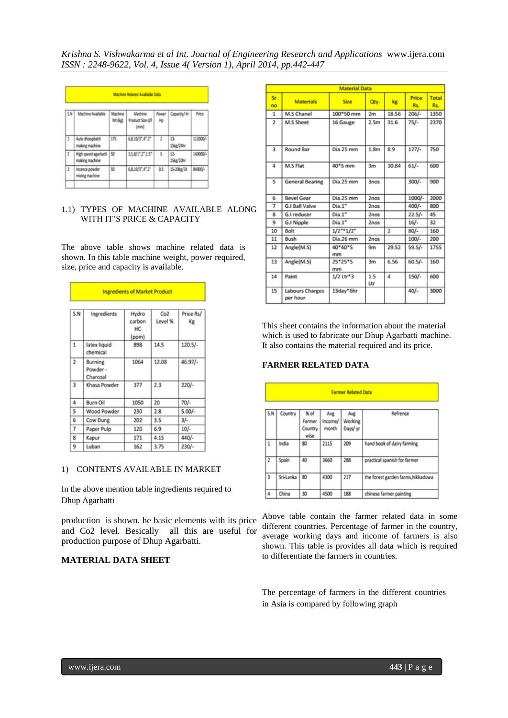|                | Machine Related Available Data         |                    |                                     |                |                  |          |
|----------------|----------------------------------------|--------------------|-------------------------------------|----------------|------------------|----------|
| 5N             | Machine Available                      | Machine<br>Wt (kg) | Machine<br>Product Size d/I<br>(mn) | Power<br>Hp    | Capacity/ hr     | Price    |
| 1              | Auto dhoopbatti<br>making machine      | 175                | 6.8.10/3".4".2"                     | $\overline{z}$ | 13-<br>15kg/24hr | 112000/- |
| $\overline{2}$ | High speed agarbatti<br>making machine | 150                | 3,5,8/1",2",1.5"                    | 5              | 13.<br>15kg/10hr | 140000/- |
| Ì              | Incence powder<br>mixing machine       | 50                 | 6.8.10/3",4",2"                     | 0.5            | 15-20kg/24       | 84000/-  |

# 1.1) TYPES OF MACHINE AVAILABLE ALONG WITH IT'S PRICE & CAPACITY

The above table shows machine related data is shown. In this table machine weight, power required, size, price and capacity is available.

|                         | <b>Ingredients of Market Product</b> |                                |                |                 |  |
|-------------------------|--------------------------------------|--------------------------------|----------------|-----------------|--|
| S.N                     | Ingredients                          | Hydro<br>carbon<br>НC<br>(ppm) | Co2<br>Level % | Price Rs/<br>Κg |  |
| 1                       | latex liquid<br>chemical             | 898                            | 14.5           | $120.5/-$       |  |
| $\overline{\mathbf{z}}$ | Burning<br>Powder-<br>Charcoal       | 1064                           | 12.08          | 46.97/-         |  |
| 3                       | Khasa Powder                         | 377                            | 2.3            | $220/-$         |  |
| 4                       | Burn Oil                             | 1050                           | 20             | $70/-$          |  |
| 5                       | Wood Powder                          | 230                            | 2.8            | $5.00/-$        |  |
| 6                       | Cow Dung                             | 202                            | 3.5            | $3/-$           |  |
| 7                       | Paper Pulp                           | 120                            | 6.9            | $10/-$          |  |
| 8                       | Kapur                                | 171                            | 4.15           | 440/-           |  |
| 9                       | Luban                                | 162                            | 3.75           | $230/-$         |  |

#### 1) CONTENTS AVAILABLE IN MARKET

In the above mention table ingredients required to Dhup Agarbatti

production is shown. he basic elements with its price and Co2 level. Besically all this are useful for production purpose of Dhup Agarbatti.

# **MATERIAL DATA SHEET**

|                         | <b>Material Data</b>        |                  |                  |                |              |              |
|-------------------------|-----------------------------|------------------|------------------|----------------|--------------|--------------|
| Sr.<br>no               | <b>Materials</b>            | Size             | Qty.             | kg             | Price<br>Rs. | Total<br>Rs. |
| 1                       | M.S Chanel                  | 100*50 mm        | 2m               | 18.56          | $206/-$      | 1350         |
| $\overline{2}$          | M.S Sheet                   | 16 Gauge         | 2.5 <sub>m</sub> | 31.6           | $75/-$       | 2370         |
| $\overline{\mathbf{3}}$ | Round Bar                   | Dia 25 mm        | 1.8 <sub>m</sub> | 8.9            | $127/-$      | 750          |
| 4                       | M.S Flat                    | 40*5 mm          | 3m               | 10.84          | $61/-$       | 600          |
| 5                       | <b>General Bearing</b>      | Dia.25 mm        | 3nos             |                | $300/-$      | 900          |
| 6                       | <b>Bevel Gear</b>           | Dia.25 mm        | 2nos             |                | 1000/-       | 2000         |
| 7                       | <b>G.I Ball Valve</b>       | Dia.1"           | 2nos             |                | $400/-$      | 800          |
| 8                       | G.I reducer                 | Dia.1"           | 2nos             |                | $22.5/-$     | 45           |
| ٩                       | <b>G.I Nipple</b>           | Dia.1"           | 2nos             |                | $16/-$       | 32           |
| 10                      | Bolt                        | $1/2$ "* $1/2$ " |                  | $\overline{2}$ | $80/-$       | 160          |
| 11                      | Bush                        | Dia.26 mm        | 2nos             |                | $100/-$      | 200          |
| 12                      | Angle(M.S)                  | 40*40*5<br>mm    | 9m               | 29.52          | $59.5/-$     | 1755         |
| 13                      | Angle(M.S)                  | 25*25*5<br>mm    | 3m               | 6.56           | $60.5/-$     | 160          |
| 14                      | Paint                       | 1/2 Ltr*3        | 1.5<br>Ltr       | 4              | $150/-$      | 600          |
| 15                      | Labours Charges<br>per hour | 13day*6hr        |                  |                | $40/-$       | 3000         |

This sheet contains the information about the material which is used to fabricate our Dhup Agarbatti machine. It also contains the material required and its price.

#### **FARMER RELATED DATA**

| <b>Farmer Related Data</b> |           |                                     |                         |                            |                                    |  |
|----------------------------|-----------|-------------------------------------|-------------------------|----------------------------|------------------------------------|--|
| S.N                        | Country   | $%$ of<br>Farmer<br>Country<br>wise | Avg<br>Income/<br>month | Avg<br>Working<br>Days/ yr | Refrence                           |  |
| 1                          | India     | 80                                  | 2115                    | 209                        | hand book of dairy farming         |  |
| $\overline{2}$             | Spain     | 40                                  | 3660                    | 288                        | practical spanish for farmer       |  |
| 3                          | Sri-Lanka | 80                                  | 4300                    | 217                        | the forest garden farms, hikkaduwa |  |
| 4                          | China     | 30                                  | 4500                    | 188                        | chinese farmer painting            |  |

Above table contain the farmer related data in some different countries. Percentage of farmer in the country, average working days and income of farmers is also shown. This table is provides all data which is required to differentiate the farmers in countries.

The percentage of farmers in the different countries in Asia is compared by following graph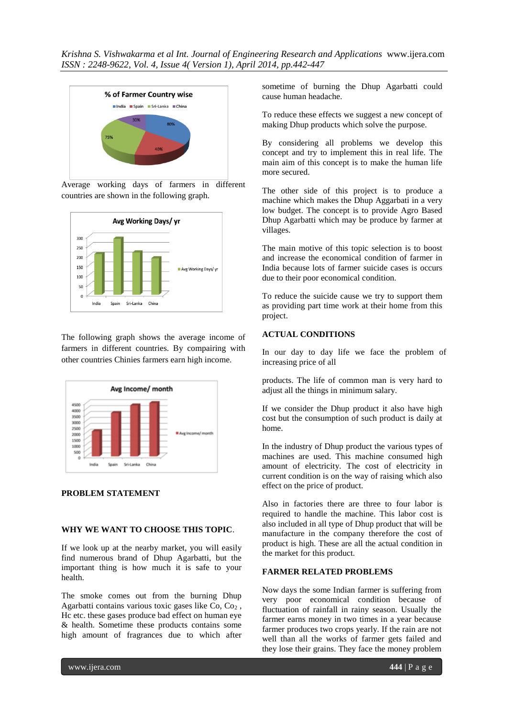

Average working days of farmers in different countries are shown in the following graph.



The following graph shows the average income of farmers in different countries. By compairing with other countries Chinies farmers earn high income.



# **PROBLEM STATEMENT**

# **WHY WE WANT TO CHOOSE THIS TOPIC**.

If we look up at the nearby market, you will easily find numerous brand of Dhup Agarbatti, but the important thing is how much it is safe to your health.

The smoke comes out from the burning Dhup Agarbatti contains various toxic gases like  $Co$ ,  $Co<sub>2</sub>$ , Hc etc. these gases produce bad effect on human eye & health. Sometime these products contains some high amount of fragrances due to which after

sometime of burning the Dhup Agarbatti could cause human headache.

To reduce these effects we suggest a new concept of making Dhup products which solve the purpose.

By considering all problems we develop this concept and try to implement this in real life. The main aim of this concept is to make the human life more secured.

The other side of this project is to produce a machine which makes the Dhup Aggarbati in a very low budget. The concept is to provide Agro Based Dhup Agarbatti which may be produce by farmer at villages.

The main motive of this topic selection is to boost and increase the economical condition of farmer in India because lots of farmer suicide cases is occurs due to their poor economical condition.

To reduce the suicide cause we try to support them as providing part time work at their home from this project.

# **ACTUAL CONDITIONS**

In our day to day life we face the problem of increasing price of all

products. The life of common man is very hard to adjust all the things in minimum salary.

If we consider the Dhup product it also have high cost but the consumption of such product is daily at home.

In the industry of Dhup product the various types of machines are used. This machine consumed high amount of electricity. The cost of electricity in current condition is on the way of raising which also effect on the price of product.

Also in factories there are three to four labor is required to handle the machine. This labor cost is also included in all type of Dhup product that will be manufacture in the company therefore the cost of product is high. These are all the actual condition in the market for this product.

# **FARMER RELATED PROBLEMS**

Now days the some Indian farmer is suffering from very poor economical condition because of fluctuation of rainfall in rainy season. Usually the farmer earns money in two times in a year because farmer produces two crops yearly. If the rain are not well than all the works of farmer gets failed and they lose their grains. They face the money problem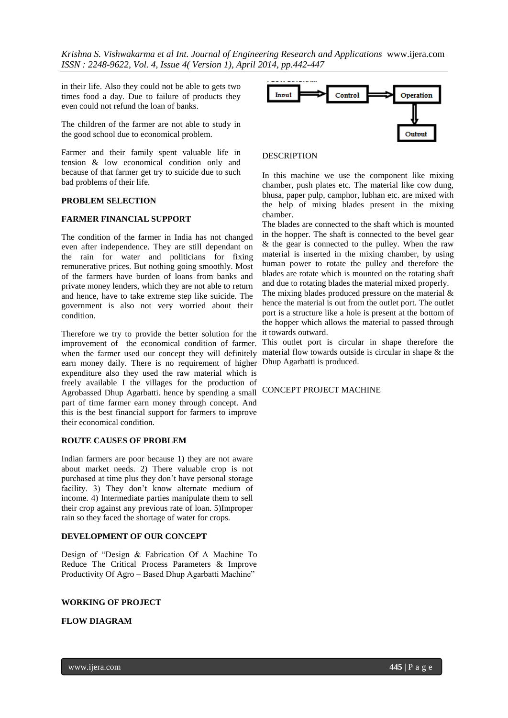in their life. Also they could not be able to gets two times food a day. Due to failure of products they even could not refund the loan of banks.

The children of the farmer are not able to study in the good school due to economical problem.

Farmer and their family spent valuable life in tension & low economical condition only and because of that farmer get try to suicide due to such bad problems of their life.

#### **PROBLEM SELECTION**

## **FARMER FINANCIAL SUPPORT**

The condition of the farmer in India has not changed even after independence. They are still dependant on the rain for water and politicians for fixing remunerative prices. But nothing going smoothly. Most of the farmers have burden of loans from banks and private money lenders, which they are not able to return and hence, have to take extreme step like suicide. The government is also not very worried about their condition.

Therefore we try to provide the better solution for the improvement of the economical condition of farmer. when the farmer used our concept they will definitely earn money daily. There is no requirement of higher expenditure also they used the raw material which is freely available I the villages for the production of Agrobassed Dhup Agarbatti. hence by spending a small CONCEPT PROJECT MACHINEpart of time farmer earn money through concept. And this is the best financial support for farmers to improve their economical condition.

#### **ROUTE CAUSES OF PROBLEM**

Indian farmers are poor because 1) they are not aware about market needs. 2) There valuable crop is not purchased at time plus they don't have personal storage facility. 3) They don't know alternate medium of income. 4) Intermediate parties manipulate them to sell their crop against any previous rate of loan. 5)Improper rain so they faced the shortage of water for crops.

#### **DEVELOPMENT OF OUR CONCEPT**

Design of "Design & Fabrication Of A Machine To Reduce The Critical Process Parameters & Improve Productivity Of Agro – Based Dhup Agarbatti Machine"

#### **WORKING OF PROJECT**

#### **FLOW DIAGRAM**



#### **DESCRIPTION**

In this machine we use the component like mixing chamber, push plates etc. The material like cow dung, bhusa, paper pulp, camphor, lubhan etc. are mixed with the help of mixing blades present in the mixing chamber.

The blades are connected to the shaft which is mounted in the hopper. The shaft is connected to the bevel gear & the gear is connected to the pulley. When the raw material is inserted in the mixing chamber, by using human power to rotate the pulley and therefore the blades are rotate which is mounted on the rotating shaft and due to rotating blades the material mixed properly.

The mixing blades produced pressure on the material & hence the material is out from the outlet port. The outlet port is a structure like a hole is present at the bottom of the hopper which allows the material to passed through it towards outward.

This outlet port is circular in shape therefore the material flow towards outside is circular in shape & the Dhup Agarbatti is produced.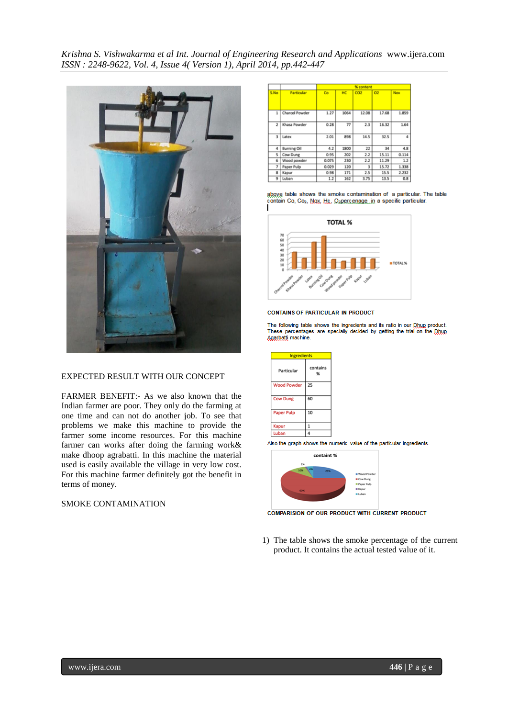

#### EXPECTED RESULT WITH OUR CONCEPT

FARMER BENEFIT:- As we also known that the Indian farmer are poor. They only do the farming at one time and can not do another job. To see that problems we make this machine to provide the farmer some income resources. For this machine farmer can works after doing the farming work& make dhoop agrabatti. In this machine the material used is easily available the village in very low cost. For this machine farmer definitely got the benefit in terms of money.

# SMOKE CONTAMINATION

|                |                    | % content |      |                 |       |       |
|----------------|--------------------|-----------|------|-----------------|-------|-------|
| S.No           | Particular         | Co        | HC   | CO <sub>2</sub> | O2    | Nox   |
| 1              | Charcol Powder     | 1.27      | 1064 | 12.08           | 17.68 | 1.859 |
| $\overline{2}$ | Khasa Powder       | 0.28      | 77   | 2.3             | 16.32 | 1.64  |
| 3              | Latex              | 2.01      | 898  | 14.5            | 32.5  | л     |
| 4              | <b>Burning Oil</b> | 4.2       | 1800 | 22              | 34    | 4.8   |
| s              | Cow Dung           | 0.95      | 202  | 2.2             | 15.11 | 0.114 |
| 6              | Wood powder        | 0.075     | 230  | 2.2             | 11.29 | 1.2   |
| 7              | Paper Pulp         | 0.029     | 120  | 3               | 15.72 | 1.338 |
| 8              | Kapur              | 0.98      | 171  | 2.5             | 15.5  | 2.232 |
| 9              | Luban              | 1.2       | 162  | 3.75            | 13.5  | 0.8   |

above table shows the smoke contamination of a particular. The table contain Co, Co2, Nox, Hc, O2percenage, in a specific particular.



#### **CONTAINS OF PARTICULAR IN PRODUCT**

The following table shows the ingredients and its ratio in our Dhug product. The following table shows the ingredients and its ratio in our group product.<br>These percentages are specially decided by getting the trial on the Dhug Agarbatti machine.

| <b>Ingredients</b> |               |  |  |  |
|--------------------|---------------|--|--|--|
| Particular         | contains<br>% |  |  |  |
| <b>Wood Powder</b> | 25            |  |  |  |
| <b>Cow Dung</b>    | 60            |  |  |  |
| <b>Paper Pulp</b>  | 10            |  |  |  |
| Kapur              | 1             |  |  |  |
| Luban              | 4             |  |  |  |

Also the graph shows the numeric value of the particular ingredients



**COMPARISION OF OUR PRODUCT WITH CURRENT PRODUCT** 

1) The table shows the smoke percentage of the current product. It contains the actual tested value of it.